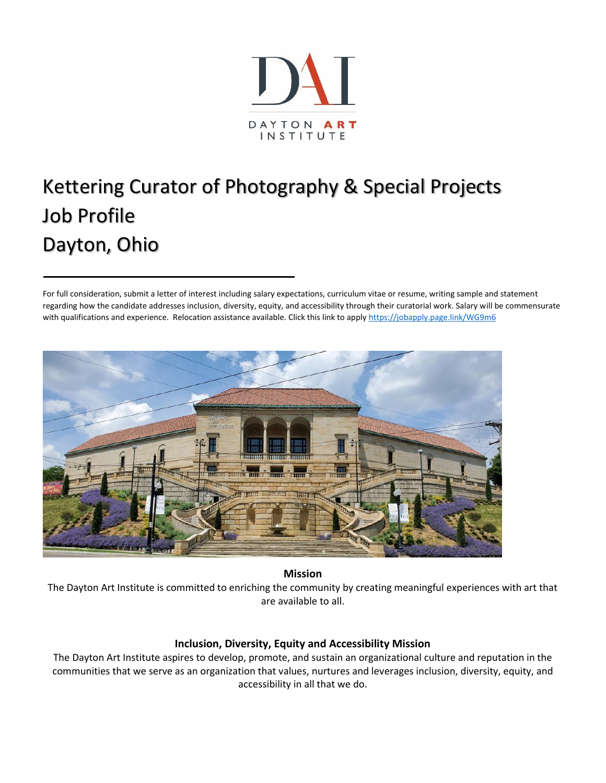

# Kettering Curator of Photography & Special Projects Job Profile Dayton, Ohio

For full consideration, submit a letter of interest including salary expectations, curriculum vitae or resume, writing sample and statement regarding how the candidate addresses inclusion, diversity, equity, and accessibility through their curatorial work. Salary will be commensurate with qualifications and experience. Relocation assistance available. Click this link to appl[y https://jobapply.page.link/WG9m6](https://jobapply.page.link/WG9m6)



**Mission**

The Dayton Art Institute is committed to enriching the community by creating meaningful experiences with art that are available to all.

#### **Inclusion, Diversity, Equity and Accessibility Mission**

The Dayton Art Institute aspires to develop, promote, and sustain an organizational culture and reputation in the communities that we serve as an organization that values, nurtures and leverages inclusion, diversity, equity, and accessibility in all that we do.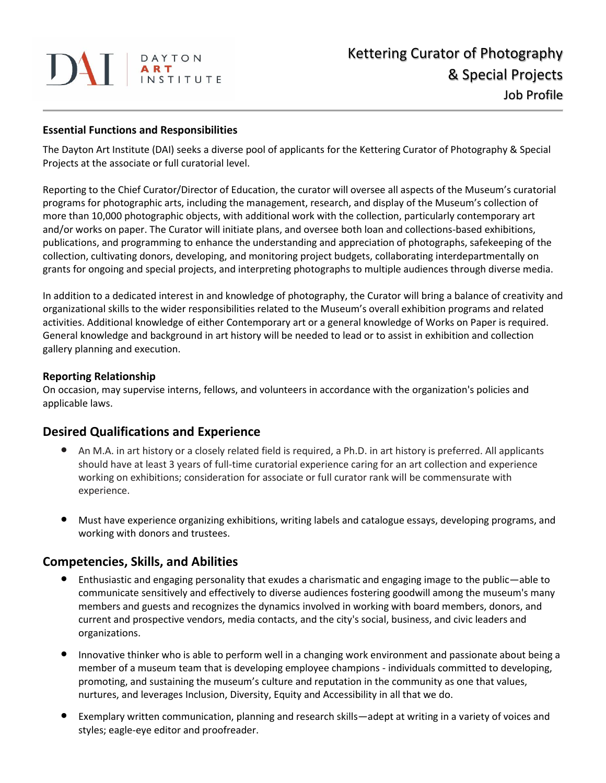# DAT ART

#### **Essential Functions and Responsibilities**

The Dayton Art Institute (DAI) seeks a diverse pool of applicants for the Kettering Curator of Photography & Special Projects at the associate or full curatorial level.

Reporting to the Chief Curator/Director of Education, the curator will oversee all aspects of the Museum's curatorial programs for photographic arts, including the management, research, and display of the Museum's collection of more than 10,000 photographic objects, with additional work with the collection, particularly contemporary art and/or works on paper. The Curator will initiate plans, and oversee both loan and collections-based exhibitions, publications, and programming to enhance the understanding and appreciation of photographs, safekeeping of the collection, cultivating donors, developing, and monitoring project budgets, collaborating interdepartmentally on grants for ongoing and special projects, and interpreting photographs to multiple audiences through diverse media.

In addition to a dedicated interest in and knowledge of photography, the Curator will bring a balance of creativity and organizational skills to the wider responsibilities related to the Museum's overall exhibition programs and related activities. Additional knowledge of either Contemporary art or a general knowledge of Works on Paper is required. General knowledge and background in art history will be needed to lead or to assist in exhibition and collection gallery planning and execution.

#### **Reporting Relationship**

On occasion, may supervise interns, fellows, and volunteers in accordance with the organization's policies and applicable laws.

## **Desired Qualifications and Experience**

- **•** An M.A. in art history or a closely related field is required, a Ph.D. in art history is preferred. All applicants should have at least 3 years of full-time curatorial experience caring for an art collection and experience working on exhibitions; consideration for associate or full curator rank will be commensurate with experience.
- **•** Must have experience organizing exhibitions, writing labels and catalogue essays, developing programs, and working with donors and trustees.

## **Competencies, Skills, and Abilities**

- **•** Enthusiastic and engaging personality that exudes a charismatic and engaging image to the public—able to communicate sensitively and effectively to diverse audiences fostering goodwill among the museum's many members and guests and recognizes the dynamics involved in working with board members, donors, and current and prospective vendors, media contacts, and the city's social, business, and civic leaders and organizations.
- **•** Innovative thinker who is able to perform well in a changing work environment and passionate about being a member of a museum team that is developing employee champions - individuals committed to developing, promoting, and sustaining the museum's culture and reputation in the community as one that values, nurtures, and leverages Inclusion, Diversity, Equity and Accessibility in all that we do.
- **•** Exemplary written communication, planning and research skills—adept at writing in a variety of voices and styles; eagle-eye editor and proofreader.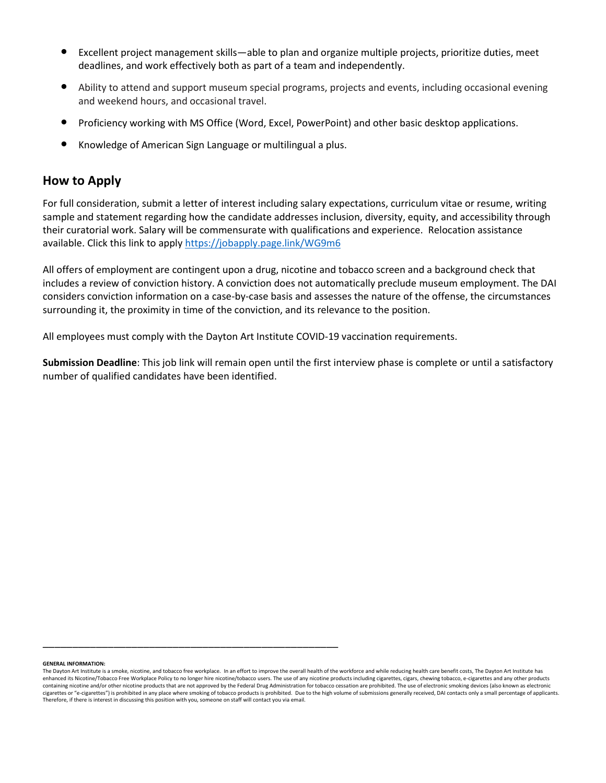- **•** Excellent project management skills—able to plan and organize multiple projects, prioritize duties, meet deadlines, and work effectively both as part of a team and independently.
- **•** Ability to attend and support museum special programs, projects and events, including occasional evening and weekend hours, and occasional travel.
- **•** Proficiency working with MS Office (Word, Excel, PowerPoint) and other basic desktop applications.
- **•** Knowledge of American Sign Language or multilingual a plus.

\_\_\_\_\_\_\_\_\_\_\_\_\_\_\_\_\_\_\_\_\_\_\_\_\_\_\_\_\_\_\_\_\_\_\_\_\_\_\_\_\_\_\_\_\_\_\_\_\_\_

#### **How to Apply**

For full consideration, submit a letter of interest including salary expectations, curriculum vitae or resume, writing sample and statement regarding how the candidate addresses inclusion, diversity, equity, and accessibility through their curatorial work. Salary will be commensurate with qualifications and experience. Relocation assistance available. Click this link to apply<https://jobapply.page.link/WG9m6>

All offers of employment are contingent upon a drug, nicotine and tobacco screen and a background check that includes a review of conviction history. A conviction does not automatically preclude museum employment. The DAI considers conviction information on a case-by-case basis and assesses the nature of the offense, the circumstances surrounding it, the proximity in time of the conviction, and its relevance to the position.

All employees must comply with the Dayton Art Institute COVID-19 vaccination requirements.

**Submission Deadline**: This job link will remain open until the first interview phase is complete or until a satisfactory number of qualified candidates have been identified.

**GENERAL INFORMATION:**

The Dayton Art Institute is a smoke, nicotine, and tobacco free workplace. In an effort to improve the overall health of the workforce and while reducing health care benefit costs, The Dayton Art Institute has enhanced its Nicotine/Tobacco Free Workplace Policy to no longer hire nicotine/tobacco users. The use of any nicotine products including cigarettes, cigars, chewing tobacco, e-cigarettes and any other products containing nicotine and/or other nicotine products that are not approved by the Federal Drug Administration for tobacco cessation are prohibited. The use of electronic smoking devices (also known as electronic cigarettes or "e-cigarettes") is prohibited in any place where smoking of tobacco products is prohibited. Due to the high volume of submissions generally received, DAI contacts only a small percentage of applicants. Therefore, if there is interest in discussing this position with you, someone on staff will contact you via email.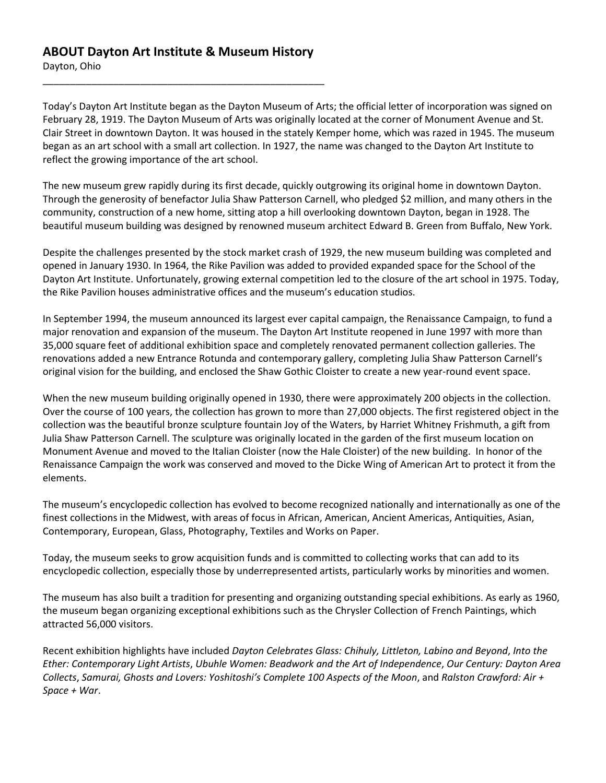#### **ABOUT Dayton Art Institute & Museum History**

\_\_\_\_\_\_\_\_\_\_\_\_\_\_\_\_\_\_\_\_\_\_\_\_\_\_\_\_\_\_\_\_\_\_\_\_\_\_\_\_\_\_\_\_\_\_\_\_\_\_\_\_

Dayton, Ohio

Today's Dayton Art Institute began as the Dayton Museum of Arts; the official letter of incorporation was signed on February 28, 1919. The Dayton Museum of Arts was originally located at the corner of Monument Avenue and St. Clair Street in downtown Dayton. It was housed in the stately Kemper home, which was razed in 1945. The museum began as an art school with a small art collection. In 1927, the name was changed to the Dayton Art Institute to reflect the growing importance of the art school.

The new museum grew rapidly during its first decade, quickly outgrowing its original home in downtown Dayton. Through the generosity of benefactor Julia Shaw Patterson Carnell, who pledged \$2 million, and many others in the community, construction of a new home, sitting atop a hill overlooking downtown Dayton, began in 1928. The beautiful museum building was designed by renowned museum architect Edward B. Green from Buffalo, New York.

Despite the challenges presented by the stock market crash of 1929, the new museum building was completed and opened in January 1930. In 1964, the Rike Pavilion was added to provided expanded space for the School of the Dayton Art Institute. Unfortunately, growing external competition led to the closure of the art school in 1975. Today, the Rike Pavilion houses administrative offices and the museum's education studios.

In September 1994, the museum announced its largest ever capital campaign, the Renaissance Campaign, to fund a major renovation and expansion of the museum. The Dayton Art Institute reopened in June 1997 with more than 35,000 square feet of additional exhibition space and completely renovated permanent collection galleries. The renovations added a new Entrance Rotunda and contemporary gallery, completing Julia Shaw Patterson Carnell's original vision for the building, and enclosed the Shaw Gothic Cloister to create a new year-round event space.

When the new museum building originally opened in 1930, there were approximately 200 objects in the collection. Over the course of 100 years, the collection has grown to more than 27,000 objects. The first registered object in the collection was the beautiful bronze sculpture fountain Joy of the Waters, by Harriet Whitney Frishmuth, a gift from Julia Shaw Patterson Carnell. The sculpture was originally located in the garden of the first museum location on Monument Avenue and moved to the Italian Cloister (now the Hale Cloister) of the new building. In honor of the Renaissance Campaign the work was conserved and moved to the Dicke Wing of American Art to protect it from the elements.

The museum's encyclopedic collection has evolved to become recognized nationally and internationally as one of the finest collections in the Midwest, with areas of focus in African, American, Ancient Americas, Antiquities, Asian, Contemporary, European, Glass, Photography, Textiles and Works on Paper.

Today, the museum seeks to grow acquisition funds and is committed to collecting works that can add to its encyclopedic collection, especially those by underrepresented artists, particularly works by minorities and women.

The museum has also built a tradition for presenting and organizing outstanding special exhibitions. As early as 1960, the museum began organizing exceptional exhibitions such as the Chrysler Collection of French Paintings, which attracted 56,000 visitors.

Recent exhibition highlights have included *Dayton Celebrates Glass: Chihuly, Littleton, Labino and Beyond*, *Into the Ether: Contemporary Light Artists*, *Ubuhle Women: Beadwork and the Art of Independence*, *Our Century: Dayton Area Collects*, *Samurai, Ghosts and Lovers: Yoshitoshi's Complete 100 Aspects of the Moon*, and *Ralston Crawford: Air + Space + War*.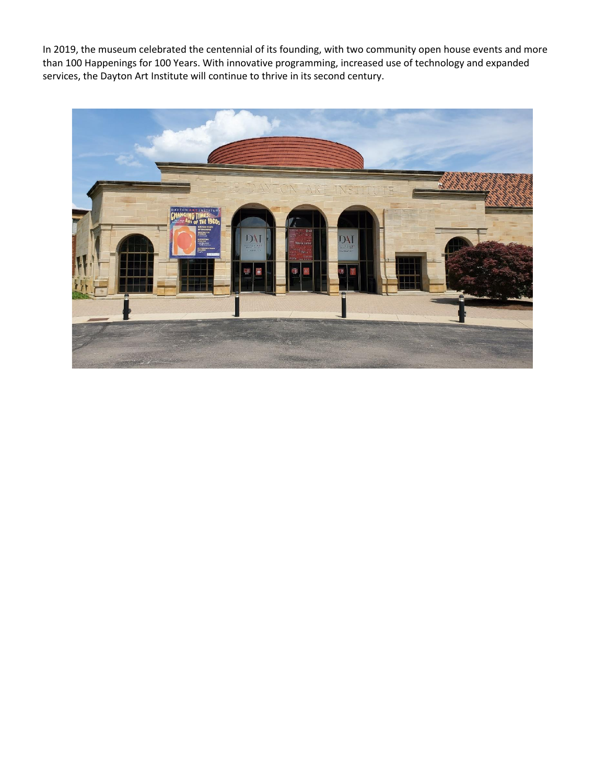In 2019, the museum celebrated the centennial of its founding, with two community open house events and more than 100 Happenings for 100 Years. With innovative programming, increased use of technology and expanded services, the Dayton Art Institute will continue to thrive in its second century.